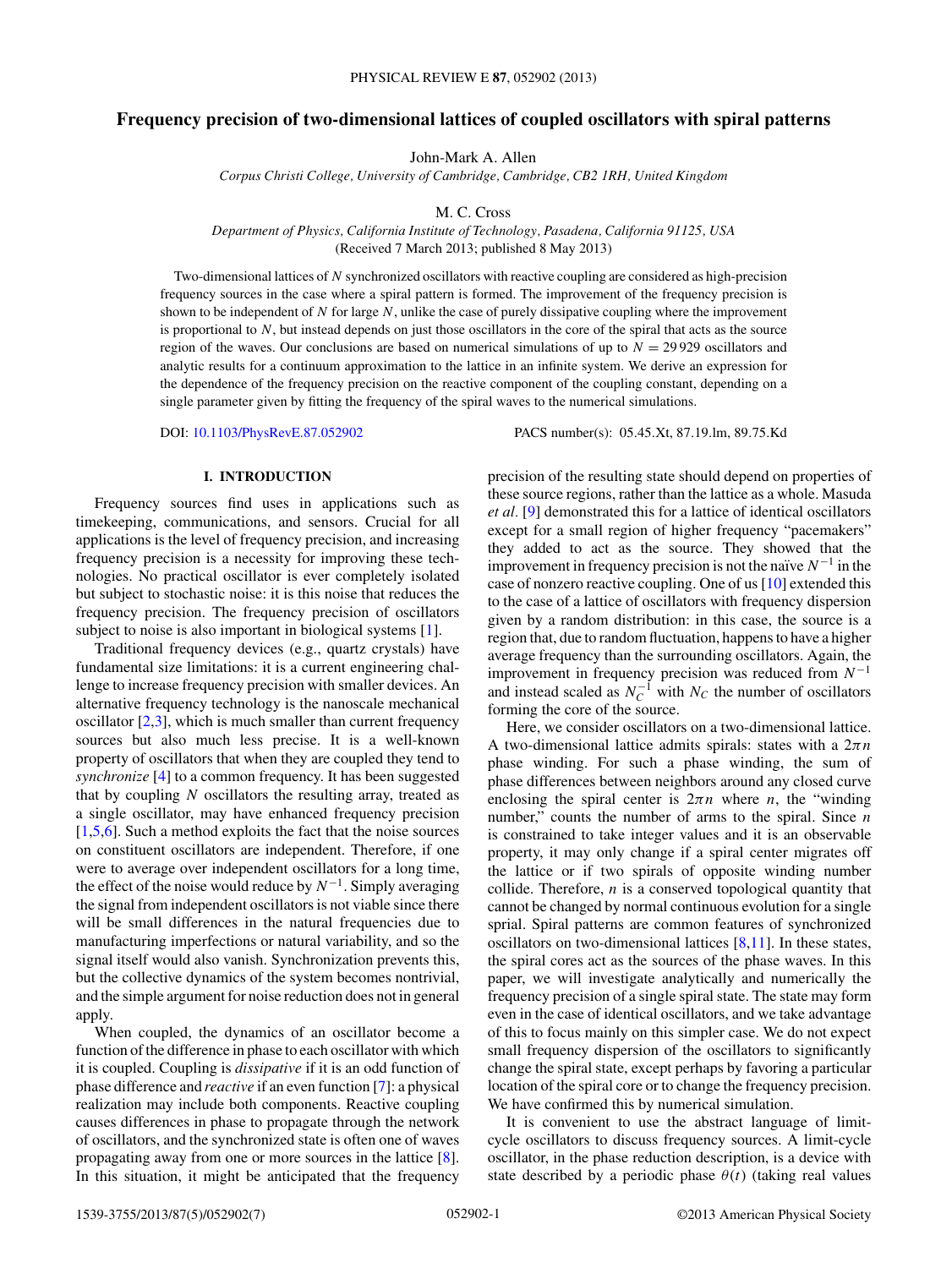# **Frequency precision of two-dimensional lattices of coupled oscillators with spiral patterns**

John-Mark A. Allen

*Corpus Christi College, University of Cambridge, Cambridge, CB2 1RH, United Kingdom*

M. C. Cross

*Department of Physics, California Institute of Technology, Pasadena, California 91125, USA*

(Received 7 March 2013; published 8 May 2013)

Two-dimensional lattices of *N* synchronized oscillators with reactive coupling are considered as high-precision frequency sources in the case where a spiral pattern is formed. The improvement of the frequency precision is shown to be independent of *N* for large *N*, unlike the case of purely dissipative coupling where the improvement is proportional to *N*, but instead depends on just those oscillators in the core of the spiral that acts as the source region of the waves. Our conclusions are based on numerical simulations of up to *N* = 29 929 oscillators and analytic results for a continuum approximation to the lattice in an infinite system. We derive an expression for the dependence of the frequency precision on the reactive component of the coupling constant, depending on a single parameter given by fitting the frequency of the spiral waves to the numerical simulations.

DOI: [10.1103/PhysRevE.87.052902](http://dx.doi.org/10.1103/PhysRevE.87.052902) PACS number(s): 05*.*45*.*Xt, 87*.*19*.*lm, 89*.*75*.*Kd

# **I. INTRODUCTION**

Frequency sources find uses in applications such as timekeeping, communications, and sensors. Crucial for all applications is the level of frequency precision, and increasing frequency precision is a necessity for improving these technologies. No practical oscillator is ever completely isolated but subject to stochastic noise: it is this noise that reduces the frequency precision. The frequency precision of oscillators subject to noise is also important in biological systems [\[1\]](#page-6-0).

Traditional frequency devices (e.g., quartz crystals) have fundamental size limitations: it is a current engineering challenge to increase frequency precision with smaller devices. An alternative frequency technology is the nanoscale mechanical oscillator  $[2,3]$ , which is much smaller than current frequency sources but also much less precise. It is a well-known property of oscillators that when they are coupled they tend to *synchronize* [\[4\]](#page-6-0) to a common frequency. It has been suggested that by coupling *N* oscillators the resulting array, treated as a single oscillator, may have enhanced frequency precision [\[1,5,6\]](#page-6-0). Such a method exploits the fact that the noise sources on constituent oscillators are independent. Therefore, if one were to average over independent oscillators for a long time, the effect of the noise would reduce by  $N^{-1}$ . Simply averaging the signal from independent oscillators is not viable since there will be small differences in the natural frequencies due to manufacturing imperfections or natural variability, and so the signal itself would also vanish. Synchronization prevents this, but the collective dynamics of the system becomes nontrivial, and the simple argument for noise reduction does not in general apply.

When coupled, the dynamics of an oscillator become a function of the difference in phase to each oscillator with which it is coupled. Coupling is *dissipative* if it is an odd function of phase difference and *reactive* if an even function [\[7\]](#page-6-0): a physical realization may include both components. Reactive coupling causes differences in phase to propagate through the network of oscillators, and the synchronized state is often one of waves propagating away from one or more sources in the lattice [\[8\]](#page-6-0). In this situation, it might be anticipated that the frequency precision of the resulting state should depend on properties of these source regions, rather than the lattice as a whole. Masuda *et al.* [\[9\]](#page-6-0) demonstrated this for a lattice of identical oscillators except for a small region of higher frequency "pacemakers" they added to act as the source. They showed that the improvement in frequency precision is not the naïve  $N^{-1}$  in the case of nonzero reactive coupling. One of us [\[10\]](#page-6-0) extended this to the case of a lattice of oscillators with frequency dispersion given by a random distribution: in this case, the source is a region that, due to random fluctuation, happens to have a higher average frequency than the surrounding oscillators. Again, the improvement in frequency precision was reduced from *N*−<sup>1</sup> and instead scaled as  $N_C^{-1}$  with  $N_C$  the number of oscillators forming the core of the source.

Here, we consider oscillators on a two-dimensional lattice. A two-dimensional lattice admits spirals: states with a 2*πn* phase winding. For such a phase winding, the sum of phase differences between neighbors around any closed curve enclosing the spiral center is  $2\pi n$  where *n*, the "winding" number," counts the number of arms to the spiral. Since *n* is constrained to take integer values and it is an observable property, it may only change if a spiral center migrates off the lattice or if two spirals of opposite winding number collide. Therefore, *n* is a conserved topological quantity that cannot be changed by normal continuous evolution for a single sprial. Spiral patterns are common features of synchronized oscillators on two-dimensional lattices  $[8,11]$ . In these states, the spiral cores act as the sources of the phase waves. In this paper, we will investigate analytically and numerically the frequency precision of a single spiral state. The state may form even in the case of identical oscillators, and we take advantage of this to focus mainly on this simpler case. We do not expect small frequency dispersion of the oscillators to significantly change the spiral state, except perhaps by favoring a particular location of the spiral core or to change the frequency precision. We have confirmed this by numerical simulation.

It is convenient to use the abstract language of limitcycle oscillators to discuss frequency sources. A limit-cycle oscillator, in the phase reduction description, is a device with state described by a periodic phase  $\theta(t)$  (taking real values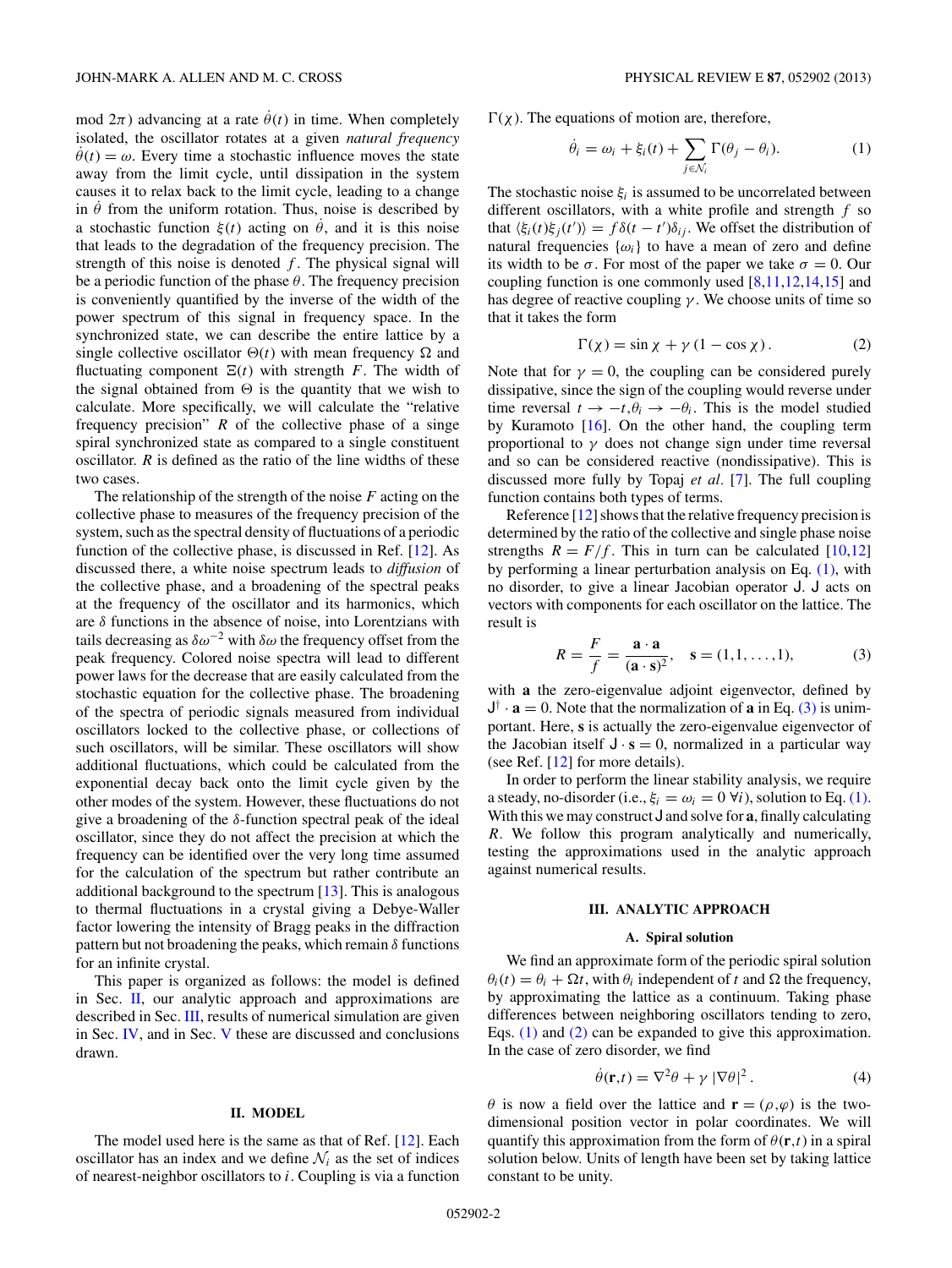<span id="page-1-0"></span>mod  $2\pi$ ) advancing at a rate  $\dot{\theta}(t)$  in time. When completely isolated, the oscillator rotates at a given *natural frequency*  $\dot{\theta}(t) = \omega$ . Every time a stochastic influence moves the state away from the limit cycle, until dissipation in the system causes it to relax back to the limit cycle, leading to a change in  $\theta$  from the uniform rotation. Thus, noise is described by a stochastic function  $\xi(t)$  acting on  $\theta$ , and it is this noise that leads to the degradation of the frequency precision. The strength of this noise is denoted  $f$ . The physical signal will be a periodic function of the phase *θ*. The frequency precision is conveniently quantified by the inverse of the width of the power spectrum of this signal in frequency space. In the synchronized state, we can describe the entire lattice by a single collective oscillator  $\Theta(t)$  with mean frequency  $\Omega$  and fluctuating component  $E(t)$  with strength *F*. The width of the signal obtained from  $\Theta$  is the quantity that we wish to calculate. More specifically, we will calculate the "relative frequency precision" *R* of the collective phase of a singe spiral synchronized state as compared to a single constituent oscillator. *R* is defined as the ratio of the line widths of these two cases.

The relationship of the strength of the noise *F* acting on the collective phase to measures of the frequency precision of the system, such as the spectral density of fluctuations of a periodic function of the collective phase, is discussed in Ref. [\[12\]](#page-6-0). As discussed there, a white noise spectrum leads to *diffusion* of the collective phase, and a broadening of the spectral peaks at the frequency of the oscillator and its harmonics, which are *δ* functions in the absence of noise, into Lorentzians with tails decreasing as  $\delta \omega^{-2}$  with  $\delta \omega$  the frequency offset from the peak frequency. Colored noise spectra will lead to different power laws for the decrease that are easily calculated from the stochastic equation for the collective phase. The broadening of the spectra of periodic signals measured from individual oscillators locked to the collective phase, or collections of such oscillators, will be similar. These oscillators will show additional fluctuations, which could be calculated from the exponential decay back onto the limit cycle given by the other modes of the system. However, these fluctuations do not give a broadening of the *δ*-function spectral peak of the ideal oscillator, since they do not affect the precision at which the frequency can be identified over the very long time assumed for the calculation of the spectrum but rather contribute an additional background to the spectrum  $[13]$ . This is analogous to thermal fluctuations in a crystal giving a Debye-Waller factor lowering the intensity of Bragg peaks in the diffraction pattern but not broadening the peaks, which remain *δ* functions for an infinite crystal.

This paper is organized as follows: the model is defined in Sec. II, our analytic approach and approximations are described in Sec. III, results of numerical simulation are given in Sec. [IV,](#page-3-0) and in Sec. [V](#page-5-0) these are discussed and conclusions drawn.

### **II. MODEL**

The model used here is the same as that of Ref. [\[12\]](#page-6-0). Each oscillator has an index and we define  $\mathcal{N}_i$  as the set of indices of nearest-neighbor oscillators to *i*. Coupling is via a function

 $\Gamma(\chi)$ . The equations of motion are, therefore,

$$
\dot{\theta}_i = \omega_i + \xi_i(t) + \sum_{j \in \mathcal{N}_i} \Gamma(\theta_j - \theta_i). \tag{1}
$$

The stochastic noise  $\xi_i$  is assumed to be uncorrelated between different oscillators, with a white profile and strength *f* so that  $\langle \xi_i(t)\xi_j(t')\rangle = f\delta(t-t')\delta_{ij}$ . We offset the distribution of natural frequencies  $\{\omega_i\}$  to have a mean of zero and define its width to be  $\sigma$ . For most of the paper we take  $\sigma = 0$ . Our coupling function is one commonly used  $[8,11,12,14,15]$  and has degree of reactive coupling *γ* . We choose units of time so that it takes the form

$$
\Gamma(\chi) = \sin \chi + \gamma (1 - \cos \chi). \tag{2}
$$

Note that for  $\gamma = 0$ , the coupling can be considered purely dissipative, since the sign of the coupling would reverse under time reversal  $t \to -t, \theta_i \to -\theta_i$ . This is the model studied by Kuramoto [\[16\]](#page-6-0). On the other hand, the coupling term proportional to  $\gamma$  does not change sign under time reversal and so can be considered reactive (nondissipative). This is discussed more fully by Topaj *et al.* [\[7\]](#page-6-0). The full coupling function contains both types of terms.

Reference [\[12\]](#page-6-0) shows that the relative frequency precision is determined by the ratio of the collective and single phase noise strengths  $R = F/f$ . This in turn can be calculated [\[10,12\]](#page-6-0) by performing a linear perturbation analysis on Eq.  $(1)$ , with no disorder, to give a linear Jacobian operator J. J acts on vectors with components for each oscillator on the lattice. The result is

$$
R = \frac{F}{f} = \frac{\mathbf{a} \cdot \mathbf{a}}{(\mathbf{a} \cdot \mathbf{s})^2}, \quad \mathbf{s} = (1, 1, \dots, 1), \tag{3}
$$

with **a** the zero-eigenvalue adjoint eigenvector, defined by  $J^{\dagger} \cdot \mathbf{a} = 0$ . Note that the normalization of **a** in Eq. (3) is unimportant. Here, **s** is actually the zero-eigenvalue eigenvector of the Jacobian itself  $J \cdot s = 0$ , normalized in a particular way (see Ref. [\[12\]](#page-6-0) for more details).

In order to perform the linear stability analysis, we require a steady, no-disorder (i.e.,  $\xi_i = \omega_i = 0 \,\forall i$ ), solution to Eq. (1). With this we may construct J and solve for **a**, finally calculating *R*. We follow this program analytically and numerically, testing the approximations used in the analytic approach against numerical results.

### **III. ANALYTIC APPROACH**

### **A. Spiral solution**

We find an approximate form of the periodic spiral solution  $\theta_i(t) = \theta_i + \Omega t$ , with  $\theta_i$  independent of *t* and  $\Omega$  the frequency, by approximating the lattice as a continuum. Taking phase differences between neighboring oscillators tending to zero, Eqs. (1) and (2) can be expanded to give this approximation. In the case of zero disorder, we find

$$
\dot{\theta}(\mathbf{r},t) = \nabla^2 \theta + \gamma |\nabla \theta|^2.
$$
 (4)

*θ* is now a field over the lattice and  $\mathbf{r} = (\rho, \varphi)$  is the twodimensional position vector in polar coordinates. We will quantify this approximation from the form of  $\theta(\mathbf{r},t)$  in a spiral solution below. Units of length have been set by taking lattice constant to be unity.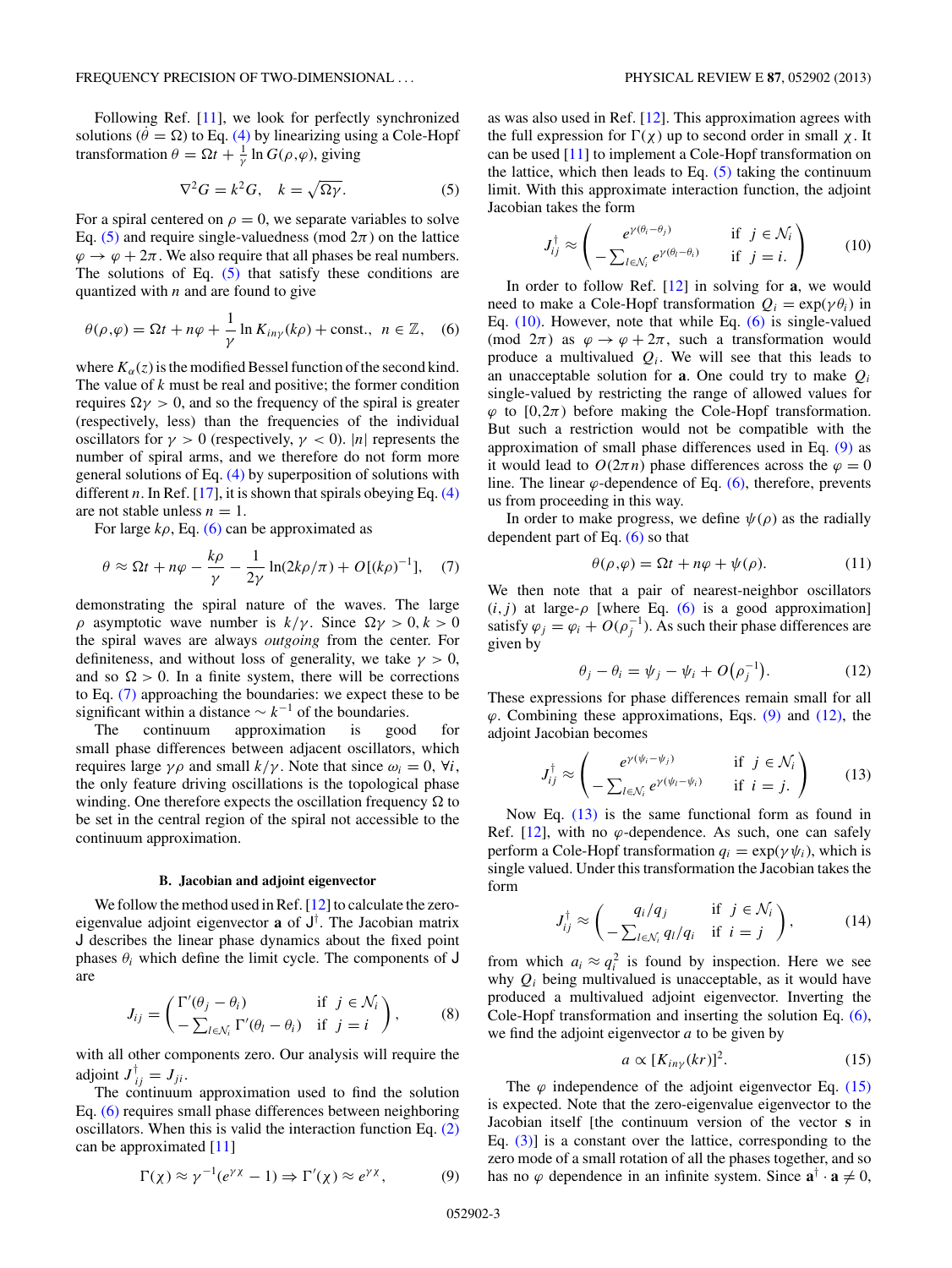<span id="page-2-0"></span>Following Ref. [\[11\]](#page-6-0), we look for perfectly synchronized solutions ( $\dot{\theta} = \Omega$ ) to Eq. [\(4\)](#page-1-0) by linearizing using a Cole-Hopf transformation  $\theta = \Omega t + \frac{1}{\gamma} \ln G(\rho, \varphi)$ , giving

$$
\nabla^2 G = k^2 G, \quad k = \sqrt{\Omega \gamma}.
$$
 (5)

For a spiral centered on  $\rho = 0$ , we separate variables to solve Eq. (5) and require single-valuedness (mod  $2\pi$ ) on the lattice  $\varphi \to \varphi + 2\pi$ . We also require that all phases be real numbers. The solutions of Eq.  $(5)$  that satisfy these conditions are quantized with *n* and are found to give

$$
\theta(\rho,\varphi) = \Omega t + n\varphi + \frac{1}{\gamma} \ln K_{in\gamma}(k\rho) + \text{const.}, \ \ n \in \mathbb{Z}, \quad (6)
$$

where  $K_\alpha(z)$  is the modified Bessel function of the second kind. The value of *k* must be real and positive; the former condition requires  $\Omega$ γ > 0, and so the frequency of the spiral is greater (respectively, less) than the frequencies of the individual oscillators for  $\gamma > 0$  (respectively,  $\gamma < 0$ ). |*n*| represents the number of spiral arms, and we therefore do not form more general solutions of Eq. [\(4\)](#page-1-0) by superposition of solutions with different *n*. In Ref. [\[17\]](#page-6-0), it is shown that spirals obeying Eq.  $(4)$ are not stable unless  $n = 1$ .

For large  $k\rho$ , Eq. (6) can be approximated as

$$
\theta \approx \Omega t + n\varphi - \frac{k\rho}{\gamma} - \frac{1}{2\gamma} \ln(2k\rho/\pi) + O[(k\rho)^{-1}], \quad (7)
$$

demonstrating the spiral nature of the waves. The large *ρ* asymptotic wave number is  $k/\gamma$ . Since  $\Omega \gamma > 0, k > 0$ the spiral waves are always *outgoing* from the center. For definiteness, and without loss of generality, we take  $\gamma > 0$ , and so  $\Omega > 0$ . In a finite system, there will be corrections to Eq. (7) approaching the boundaries: we expect these to be significant within a distance  $\sim k^{-1}$  of the boundaries.

The continuum approximation is good for small phase differences between adjacent oscillators, which requires large *γρ* and small  $k/\gamma$ . Note that since  $ω<sub>i</sub> = 0$ ,  $∀*i*$ , the only feature driving oscillations is the topological phase winding. One therefore expects the oscillation frequency  $\Omega$  to be set in the central region of the spiral not accessible to the continuum approximation.

### **B. Jacobian and adjoint eigenvector**

We follow the method used in Ref. [\[12\]](#page-6-0) to calculate the zeroeigenvalue adjoint eigenvector **a** of J† . The Jacobian matrix J describes the linear phase dynamics about the fixed point phases  $\theta_i$  which define the limit cycle. The components of J are

$$
J_{ij} = \begin{pmatrix} \Gamma'(\theta_j - \theta_i) & \text{if } j \in \mathcal{N}_i \\ -\sum_{l \in \mathcal{N}_i} \Gamma'(\theta_l - \theta_i) & \text{if } j = i \end{pmatrix}, \quad (8)
$$

with all other components zero. Our analysis will require the adjoint  $J_{ij}^{\dagger} = J_{ji}$ .

The continuum approximation used to find the solution Eq. (6) requires small phase differences between neighboring oscillators. When this is valid the interaction function Eq. [\(2\)](#page-1-0) can be approximated [\[11\]](#page-6-0)

$$
\Gamma(\chi) \approx \gamma^{-1}(e^{\gamma \chi} - 1) \Rightarrow \Gamma'(\chi) \approx e^{\gamma \chi}, \tag{9}
$$

as was also used in Ref.  $[12]$ . This approximation agrees with the full expression for  $\Gamma(\chi)$  up to second order in small  $\chi$ . It can be used [\[11\]](#page-6-0) to implement a Cole-Hopf transformation on the lattice, which then leads to Eq.  $(5)$  taking the continuum limit. With this approximate interaction function, the adjoint Jacobian takes the form

$$
J_{ij}^{\dagger} \approx \begin{pmatrix} e^{\gamma(\theta_i - \theta_j)} & \text{if } j \in \mathcal{N}_i \\ -\sum_{l \in \mathcal{N}_i} e^{\gamma(\theta_l - \theta_i)} & \text{if } j = i. \end{pmatrix} \tag{10}
$$

In order to follow Ref. [\[12\]](#page-6-0) in solving for **a**, we would need to make a Cole-Hopf transformation  $Q_i = \exp(\gamma \theta_i)$  in Eq. (10). However, note that while Eq. (6) is single-valued (mod  $2\pi$ ) as  $\varphi \to \varphi + 2\pi$ , such a transformation would produce a multivalued  $Q_i$ . We will see that this leads to an unacceptable solution for **a**. One could try to make *Qi* single-valued by restricting the range of allowed values for  $\varphi$  to [0,2 $\pi$ ) before making the Cole-Hopf transformation. But such a restriction would not be compatible with the approximation of small phase differences used in Eq. (9) as it would lead to  $O(2\pi n)$  phase differences across the  $\varphi = 0$ line. The linear  $\varphi$ -dependence of Eq. (6), therefore, prevents us from proceeding in this way.

In order to make progress, we define  $\psi(\rho)$  as the radially dependent part of Eq. (6) so that

$$
\theta(\rho,\varphi) = \Omega t + n\varphi + \psi(\rho). \tag{11}
$$

We then note that a pair of nearest-neighbor oscillators  $(i, j)$  at large- $\rho$  [where Eq. (6) is a good approximation] satisfy  $\varphi_j = \varphi_i + O(\rho_j^{-1})$ . As such their phase differences are given by

$$
\theta_j - \theta_i = \psi_j - \psi_i + O(\rho_j^{-1}). \tag{12}
$$

These expressions for phase differences remain small for all *ϕ*. Combining these approximations, Eqs. (9) and (12), the adjoint Jacobian becomes

$$
J_{ij}^{\dagger} \approx \begin{pmatrix} e^{\gamma(\psi_i - \psi_j)} & \text{if } j \in \mathcal{N}_i \\ -\sum_{l \in \mathcal{N}_i} e^{\gamma(\psi_l - \psi_i)} & \text{if } i = j. \end{pmatrix} \tag{13}
$$

Now Eq. (13) is the same functional form as found in Ref.  $[12]$ , with no  $\varphi$ -dependence. As such, one can safely perform a Cole-Hopf transformation  $q_i = \exp(\gamma \psi_i)$ , which is single valued. Under this transformation the Jacobian takes the form

$$
J_{ij}^{\dagger} \approx \begin{pmatrix} q_i/q_j & \text{if } j \in \mathcal{N}_i \\ -\sum_{l \in \mathcal{N}_i} q_l/q_l & \text{if } i = j \end{pmatrix},\tag{14}
$$

from which  $a_i \approx q_i^2$  is found by inspection. Here we see why *Qi* being multivalued is unacceptable, as it would have produced a multivalued adjoint eigenvector. Inverting the Cole-Hopf transformation and inserting the solution Eq. (6), we find the adjoint eigenvector *a* to be given by

$$
a \propto [K_{in\gamma}(kr)]^2. \tag{15}
$$

The  $\varphi$  independence of the adjoint eigenvector Eq. (15) is expected. Note that the zero-eigenvalue eigenvector to the Jacobian itself [the continuum version of the vector **s** in Eq.  $(3)$  is a constant over the lattice, corresponding to the zero mode of a small rotation of all the phases together, and so has no  $\varphi$  dependence in an infinite system. Since  $\mathbf{a}^{\dagger} \cdot \mathbf{a} \neq 0$ ,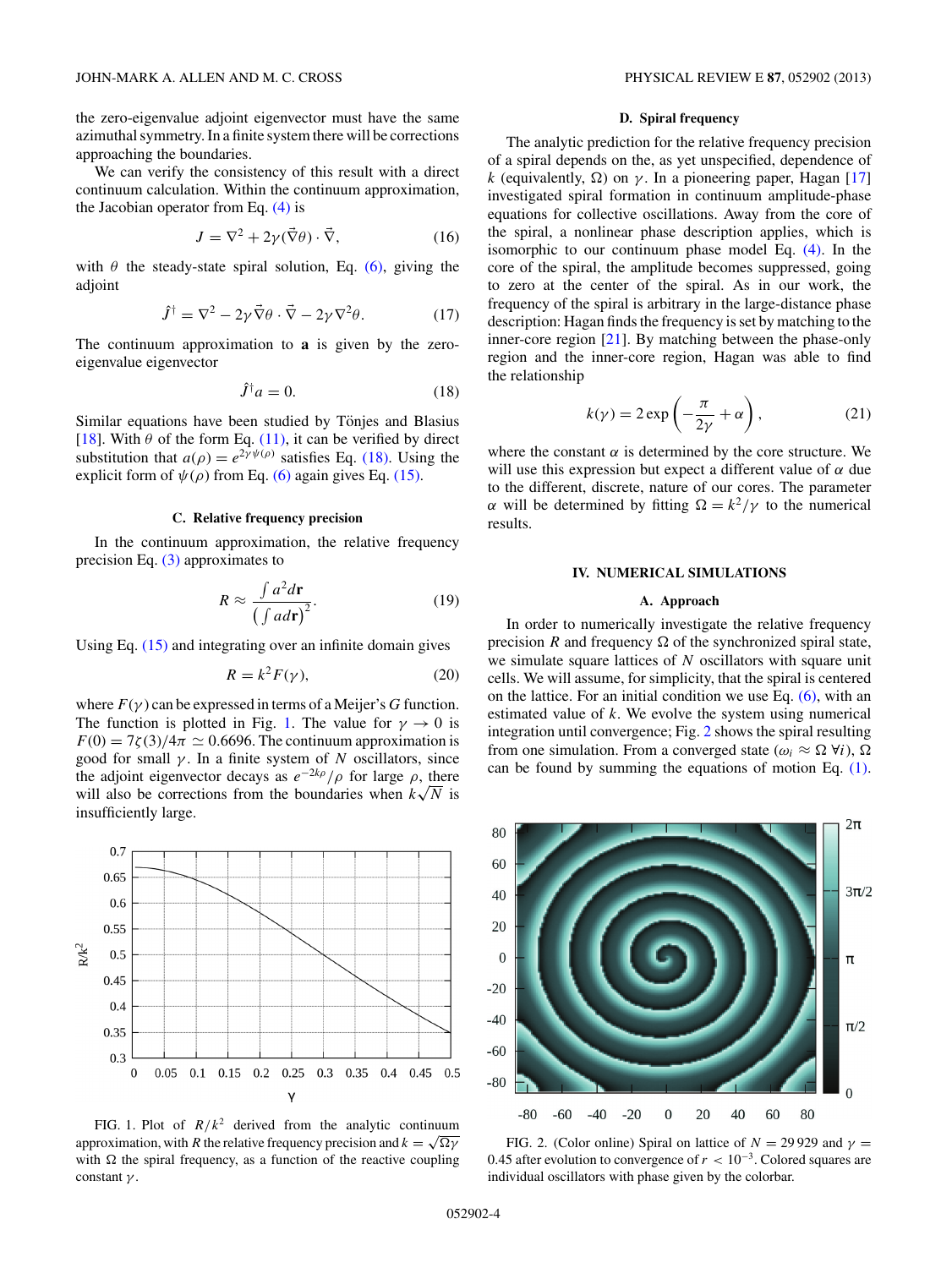<span id="page-3-0"></span>the zero-eigenvalue adjoint eigenvector must have the same azimuthal symmetry. In a finite system there will be corrections approaching the boundaries.

We can verify the consistency of this result with a direct continuum calculation. Within the continuum approximation, the Jacobian operator from Eq.  $(4)$  is

$$
J = \nabla^2 + 2\gamma(\vec{\nabla}\theta) \cdot \vec{\nabla},\tag{16}
$$

with  $\theta$  the steady-state spiral solution, Eq. [\(6\),](#page-2-0) giving the adjoint

$$
\hat{J}^{\dagger} = \nabla^2 - 2\gamma \vec{\nabla}\theta \cdot \vec{\nabla} - 2\gamma \nabla^2 \theta. \tag{17}
$$

The continuum approximation to **a** is given by the zeroeigenvalue eigenvector

$$
\hat{J}^{\dagger} a = 0. \tag{18}
$$

Similar equations have been studied by Tönjes and Blasius [\[18\]](#page-6-0). With  $\theta$  of the form Eq. [\(11\),](#page-2-0) it can be verified by direct substitution that  $a(\rho) = e^{2\gamma \psi(\rho)}$  satisfies Eq. (18). Using the explicit form of  $\psi(\rho)$  from Eq. [\(6\)](#page-2-0) again gives Eq. [\(15\).](#page-2-0)

### **C. Relative frequency precision**

In the continuum approximation, the relative frequency precision Eq. [\(3\)](#page-1-0) approximates to

$$
R \approx \frac{\int a^2 d\mathbf{r}}{\left(\int a d\mathbf{r}\right)^2}.
$$
 (19)

Using Eq. [\(15\)](#page-2-0) and integrating over an infinite domain gives

$$
R = k^2 F(\gamma),\tag{20}
$$

where  $F(\gamma)$  can be expressed in terms of a Meijer's *G* function. The function is plotted in Fig. 1. The value for  $\gamma \to 0$  is  $F(0) = 7\zeta(3)/4\pi \simeq 0.6696$ . The continuum approximation is good for small *γ* . In a finite system of *N* oscillators, since the adjoint eigenvector decays as  $e^{-2k\rho}/\rho$  for large  $\rho$ , there the adjoint eigenvector decays as  $e^{-2\pi k}/\rho$  for large  $\rho$ , there will also be corrections from the boundaries when  $k\sqrt{N}$  is insufficiently large.



FIG. 1. Plot of  $R/k^2$  derived from the analytic continuum approximation, with *R* the relative frequency precision and  $k = \sqrt{\Omega \gamma}$ with  $\Omega$  the spiral frequency, as a function of the reactive coupling constant *γ* .

# **D. Spiral frequency**

The analytic prediction for the relative frequency precision of a spiral depends on the, as yet unspecified, dependence of *k* (equivalently,  $\Omega$ ) on  $\gamma$ . In a pioneering paper, Hagan [\[17\]](#page-6-0) investigated spiral formation in continuum amplitude-phase equations for collective oscillations. Away from the core of the spiral, a nonlinear phase description applies, which is isomorphic to our continuum phase model Eq. [\(4\).](#page-1-0) In the core of the spiral, the amplitude becomes suppressed, going to zero at the center of the spiral. As in our work, the frequency of the spiral is arbitrary in the large-distance phase description: Hagan finds the frequency is set by matching to the inner-core region [\[21\]](#page-6-0). By matching between the phase-only region and the inner-core region, Hagan was able to find the relationship

$$
k(\gamma) = 2 \exp\left(-\frac{\pi}{2\gamma} + \alpha\right),\tag{21}
$$

where the constant  $\alpha$  is determined by the core structure. We will use this expression but expect a different value of *α* due to the different, discrete, nature of our cores. The parameter *α* will be determined by fitting  $\Omega = k^2/\gamma$  to the numerical results.

# **IV. NUMERICAL SIMULATIONS**

### **A. Approach**

In order to numerically investigate the relative frequency precision *R* and frequency  $\Omega$  of the synchronized spiral state, we simulate square lattices of *N* oscillators with square unit cells. We will assume, for simplicity, that the spiral is centered on the lattice. For an initial condition we use Eq. [\(6\),](#page-2-0) with an estimated value of *k*. We evolve the system using numerical integration until convergence; Fig. 2 shows the spiral resulting from one simulation. From a converged state ( $\omega_i \approx \Omega$   $\forall i$ ),  $\Omega$ can be found by summing the equations of motion Eq. [\(1\).](#page-1-0)



FIG. 2. (Color online) Spiral on lattice of  $N = 29929$  and  $\gamma =$ 0*.*45 after evolution to convergence of *r <* 10<sup>−</sup>3. Colored squares are individual oscillators with phase given by the colorbar.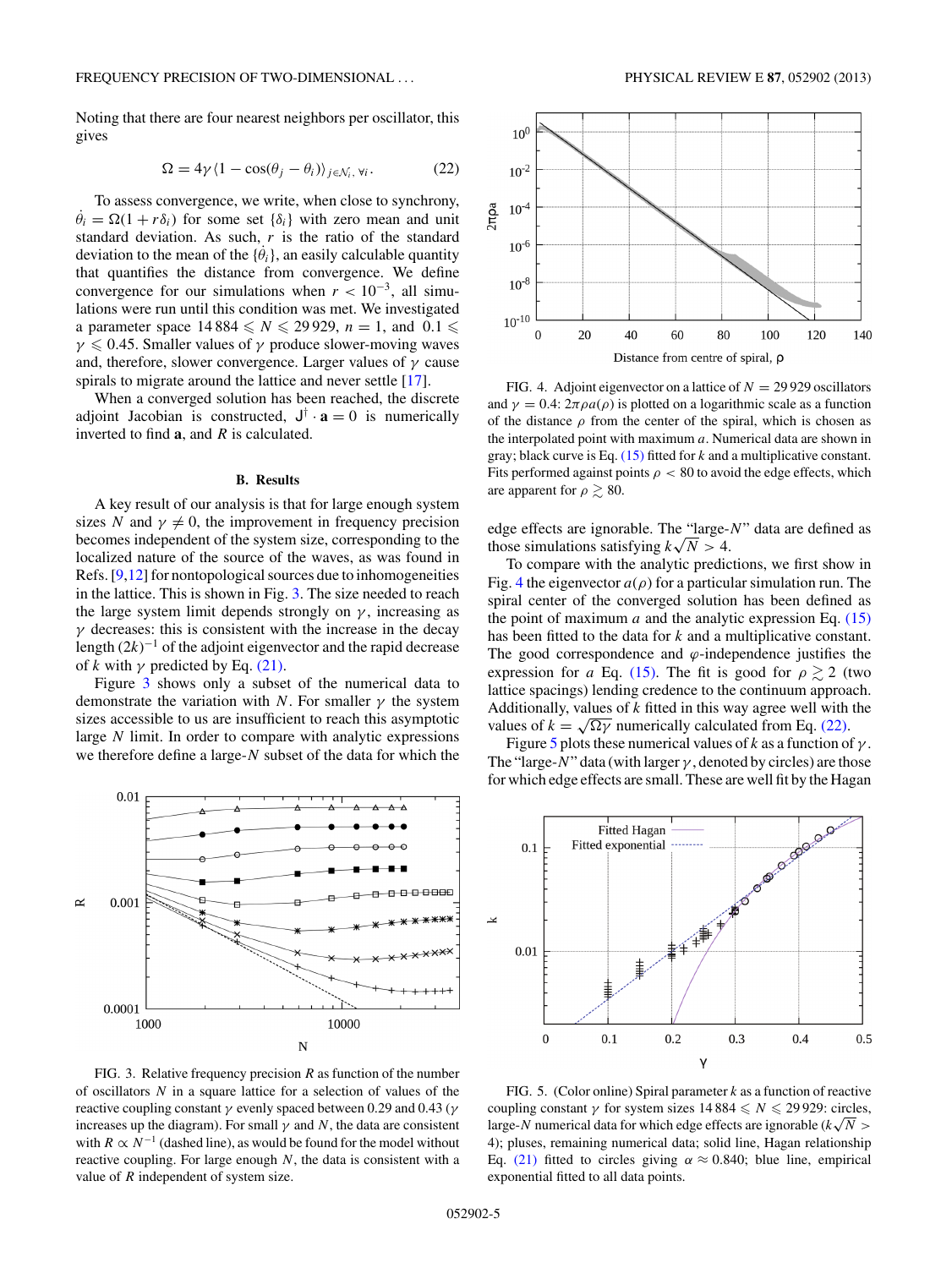<span id="page-4-0"></span>Noting that there are four nearest neighbors per oscillator, this gives

$$
\Omega = 4\gamma \langle 1 - \cos(\theta_j - \theta_i) \rangle_{j \in \mathcal{N}_i, \forall i}.
$$
 (22)

To assess convergence, we write, when close to synchrony,  $\dot{\theta}_i = \Omega(1 + r\delta_i)$  for some set  $\{\delta_i\}$  with zero mean and unit standard deviation. As such, *r* is the ratio of the standard deviation to the mean of the  $\{\dot{\theta}_i\}$ , an easily calculable quantity that quantifies the distance from convergence. We define convergence for our simulations when  $r < 10^{-3}$ , all simulations were run until this condition was met. We investigated a parameter space  $14\,884 \leq N \leq 29\,929$ ,  $n = 1$ , and  $0.1 \leq$ *γ* ≤ 0.45. Smaller values of *γ* produce slower-moving waves and, therefore, slower convergence. Larger values of *γ* cause spirals to migrate around the lattice and never settle [\[17\]](#page-6-0).

When a converged solution has been reached, the discrete adjoint Jacobian is constructed,  $J^{\dagger} \cdot \mathbf{a} = 0$  is numerically inverted to find **a**, and *R* is calculated.

### **B. Results**

A key result of our analysis is that for large enough system sizes *N* and  $\gamma \neq 0$ , the improvement in frequency precision becomes independent of the system size, corresponding to the localized nature of the source of the waves, as was found in Refs. [\[9,12\]](#page-6-0) for nontopological sources due to inhomogeneities in the lattice. This is shown in Fig. 3. The size needed to reach the large system limit depends strongly on  $\gamma$ , increasing as  $\gamma$  decreases: this is consistent with the increase in the decay length  $(2k)^{-1}$  of the adjoint eigenvector and the rapid decrease of *k* with  $\gamma$  predicted by Eq. [\(21\).](#page-3-0)

Figure 3 shows only a subset of the numerical data to demonstrate the variation with *N*. For smaller *γ* the system sizes accessible to us are insufficient to reach this asymptotic large *N* limit. In order to compare with analytic expressions we therefore define a large-*N* subset of the data for which the



FIG. 3. Relative frequency precision *R* as function of the number of oscillators *N* in a square lattice for a selection of values of the reactive coupling constant *γ* evenly spaced between 0.29 and 0.43 (*γ* increases up the diagram). For small  $\gamma$  and  $N$ , the data are consistent with  $R \propto N^{-1}$  (dashed line), as would be found for the model without reactive coupling. For large enough *N*, the data is consistent with a value of *R* independent of system size.



FIG. 4. Adjoint eigenvector on a lattice of  $N = 29929$  oscillators and  $\gamma = 0.4$ :  $2\pi \rho a(\rho)$  is plotted on a logarithmic scale as a function of the distance  $\rho$  from the center of the spiral, which is chosen as the interpolated point with maximum *a*. Numerical data are shown in gray; black curve is Eq. [\(15\)](#page-2-0) fitted for *k* and a multiplicative constant. Fits performed against points  $\rho < 80$  to avoid the edge effects, which are apparent for  $\rho \geq 80$ .

edge effects are ignorable. The "large-*N*" data are defined as edge effects are ignorable. The "large-<br>those simulations satisfying  $k\sqrt{N} > 4$ .

To compare with the analytic predictions, we first show in Fig. 4 the eigenvector  $a(\rho)$  for a particular simulation run. The spiral center of the converged solution has been defined as the point of maximum  $a$  and the analytic expression Eq.  $(15)$ has been fitted to the data for *k* and a multiplicative constant. The good correspondence and *ϕ*-independence justifies the expression for *a* Eq. [\(15\).](#page-2-0) The fit is good for  $\rho \gtrsim 2$  (two lattice spacings) lending credence to the continuum approach. Additionally, values of *k* fitted in this way agree well with the values of  $k = \sqrt{\Omega \gamma}$  numerically calculated from Eq. (22).

Figure 5 plots these numerical values of  $k$  as a function of  $\gamma$ . The "large-*N*" data (with larger *γ* , denoted by circles) are those for which edge effects are small. These are well fit by the Hagan



FIG. 5. (Color online) Spiral parameter *k* as a function of reactive coupling constant  $\gamma$  for system sizes  $14\,884 \leq N \leq 29\,929$ : circles, coupling constant  $\gamma$  for system sizes 14 884  $\leq N \leq 29929$ : circles, large-*N* numerical data for which edge effects are ignorable ( $k\sqrt{N}$  > 4); pluses, remaining numerical data; solid line, Hagan relationship Eq. [\(21\)](#page-3-0) fitted to circles giving  $\alpha \approx 0.840$ ; blue line, empirical exponential fitted to all data points.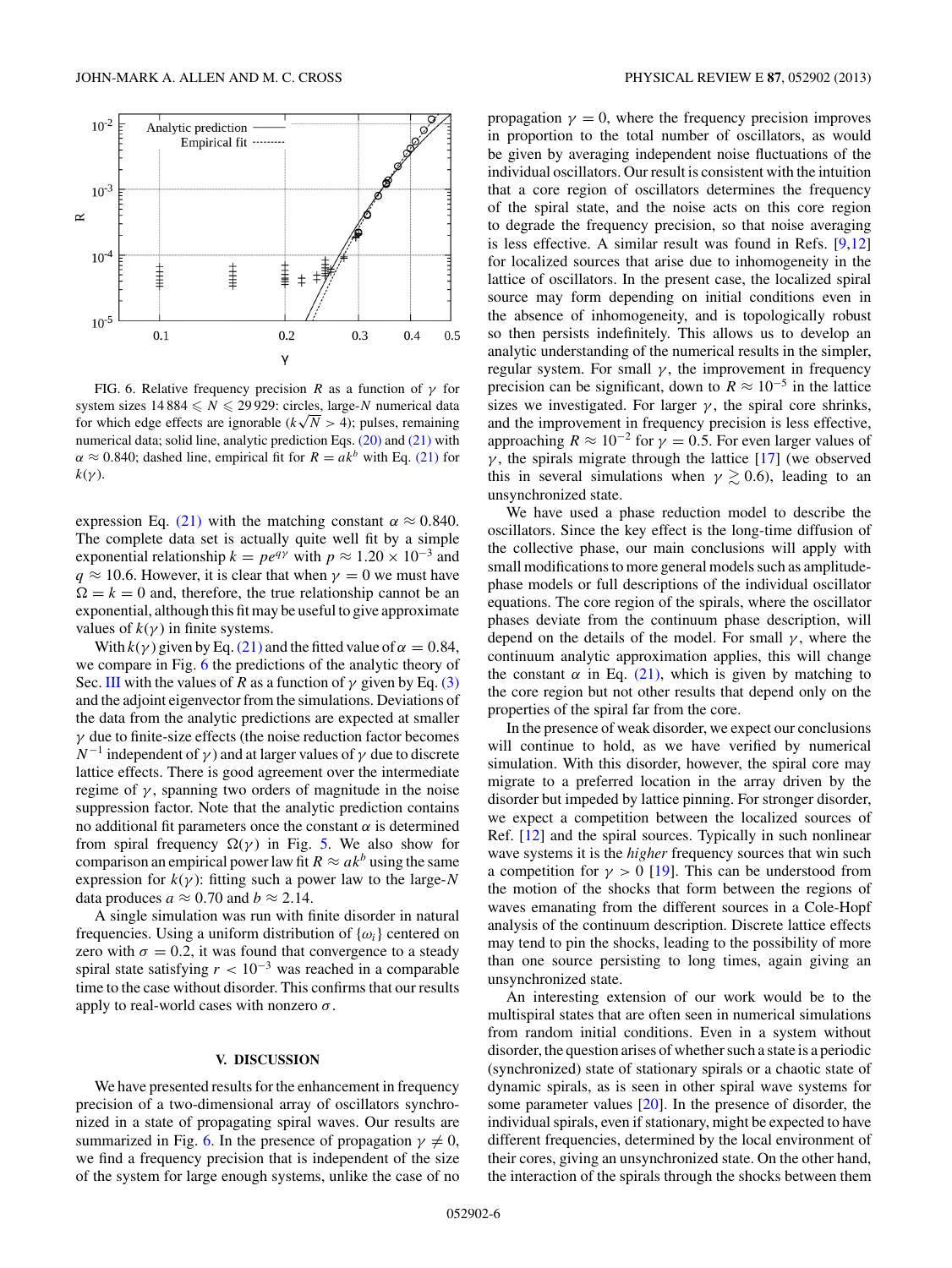<span id="page-5-0"></span>

FIG. 6. Relative frequency precision *R* as a function of  $\gamma$  for system sizes  $14\,884 \leq N \leq 29\,929$ : circles, large-*N* numerical data for which edge effects are ignorable  $(k\sqrt{N} > 4)$ ; pulses, remaining for which edge effects are ignorable  $(k\sqrt{N} > 4)$ ; pulses, remaining numerical data; solid line, analytic prediction Eqs. [\(20\)](#page-3-0) and [\(21\)](#page-3-0) with  $\alpha \approx 0.840$ ; dashed line, empirical fit for  $R = ak^b$  with Eq. [\(21\)](#page-3-0) for  $k(\gamma)$ .

expression Eq. [\(21\)](#page-3-0) with the matching constant  $\alpha \approx 0.840$ . The complete data set is actually quite well fit by a simple exponential relationship  $k = pe^{q\gamma}$  with  $p \approx 1.20 \times 10^{-3}$  and  $q \approx 10.6$ . However, it is clear that when  $\gamma = 0$  we must have  $\Omega = k = 0$  and, therefore, the true relationship cannot be an exponential, although this fit may be useful to give approximate values of  $k(\gamma)$  in finite systems.

With  $k(\gamma)$  given by Eq. [\(21\)](#page-3-0) and the fitted value of  $\alpha = 0.84$ , we compare in Fig. 6 the predictions of the analytic theory of Sec. [III](#page-1-0) with the values of *R* as a function of  $\gamma$  given by Eq. [\(3\)](#page-1-0) and the adjoint eigenvector from the simulations. Deviations of the data from the analytic predictions are expected at smaller *γ* due to finite-size effects (the noise reduction factor becomes  $N^{-1}$  independent of  $\gamma$ ) and at larger values of  $\gamma$  due to discrete lattice effects. There is good agreement over the intermediate regime of  $\gamma$ , spanning two orders of magnitude in the noise suppression factor. Note that the analytic prediction contains no additional fit parameters once the constant *α* is determined from spiral frequency  $\Omega(\gamma)$  in Fig. [5.](#page-4-0) We also show for comparison an empirical power law fit  $R \approx a k^b$  using the same expression for  $k(y)$ : fitting such a power law to the large-*N* data produces  $a \approx 0.70$  and  $b \approx 2.14$ .

A single simulation was run with finite disorder in natural frequencies. Using a uniform distribution of  $\{\omega_i\}$  centered on zero with  $\sigma = 0.2$ , it was found that convergence to a steady spiral state satisfying  $r < 10^{-3}$  was reached in a comparable time to the case without disorder. This confirms that our results apply to real-world cases with nonzero *σ*.

### **V. DISCUSSION**

We have presented results for the enhancement in frequency precision of a two-dimensional array of oscillators synchronized in a state of propagating spiral waves. Our results are summarized in Fig. 6. In the presence of propagation  $\gamma \neq 0$ , we find a frequency precision that is independent of the size of the system for large enough systems, unlike the case of no propagation  $\gamma = 0$ , where the frequency precision improves in proportion to the total number of oscillators, as would be given by averaging independent noise fluctuations of the individual oscillators. Our result is consistent with the intuition that a core region of oscillators determines the frequency of the spiral state, and the noise acts on this core region to degrade the frequency precision, so that noise averaging is less effective. A similar result was found in Refs. [\[9,12\]](#page-6-0) for localized sources that arise due to inhomogeneity in the lattice of oscillators. In the present case, the localized spiral source may form depending on initial conditions even in the absence of inhomogeneity, and is topologically robust so then persists indefinitely. This allows us to develop an analytic understanding of the numerical results in the simpler, regular system. For small  $\gamma$ , the improvement in frequency precision can be significant, down to  $R \approx 10^{-5}$  in the lattice sizes we investigated. For larger  $\gamma$ , the spiral core shrinks, and the improvement in frequency precision is less effective, approaching  $R \approx 10^{-2}$  for  $\gamma = 0.5$ . For even larger values of  $\gamma$ , the spirals migrate through the lattice [\[17\]](#page-6-0) (we observed this in several simulations when  $\gamma \gtrsim 0.6$ ), leading to an unsynchronized state.

We have used a phase reduction model to describe the oscillators. Since the key effect is the long-time diffusion of the collective phase, our main conclusions will apply with small modifications to more general models such as amplitudephase models or full descriptions of the individual oscillator equations. The core region of the spirals, where the oscillator phases deviate from the continuum phase description, will depend on the details of the model. For small  $\gamma$ , where the continuum analytic approximation applies, this will change the constant  $\alpha$  in Eq. [\(21\),](#page-3-0) which is given by matching to the core region but not other results that depend only on the properties of the spiral far from the core.

In the presence of weak disorder, we expect our conclusions will continue to hold, as we have verified by numerical simulation. With this disorder, however, the spiral core may migrate to a preferred location in the array driven by the disorder but impeded by lattice pinning. For stronger disorder, we expect a competition between the localized sources of Ref. [\[12\]](#page-6-0) and the spiral sources. Typically in such nonlinear wave systems it is the *higher* frequency sources that win such a competition for  $\gamma > 0$  [\[19\]](#page-6-0). This can be understood from the motion of the shocks that form between the regions of waves emanating from the different sources in a Cole-Hopf analysis of the continuum description. Discrete lattice effects may tend to pin the shocks, leading to the possibility of more than one source persisting to long times, again giving an unsynchronized state.

An interesting extension of our work would be to the multispiral states that are often seen in numerical simulations from random initial conditions. Even in a system without disorder, the question arises of whether such a state is a periodic (synchronized) state of stationary spirals or a chaotic state of dynamic spirals, as is seen in other spiral wave systems for some parameter values [\[20\]](#page-6-0). In the presence of disorder, the individual spirals, even if stationary, might be expected to have different frequencies, determined by the local environment of their cores, giving an unsynchronized state. On the other hand, the interaction of the spirals through the shocks between them